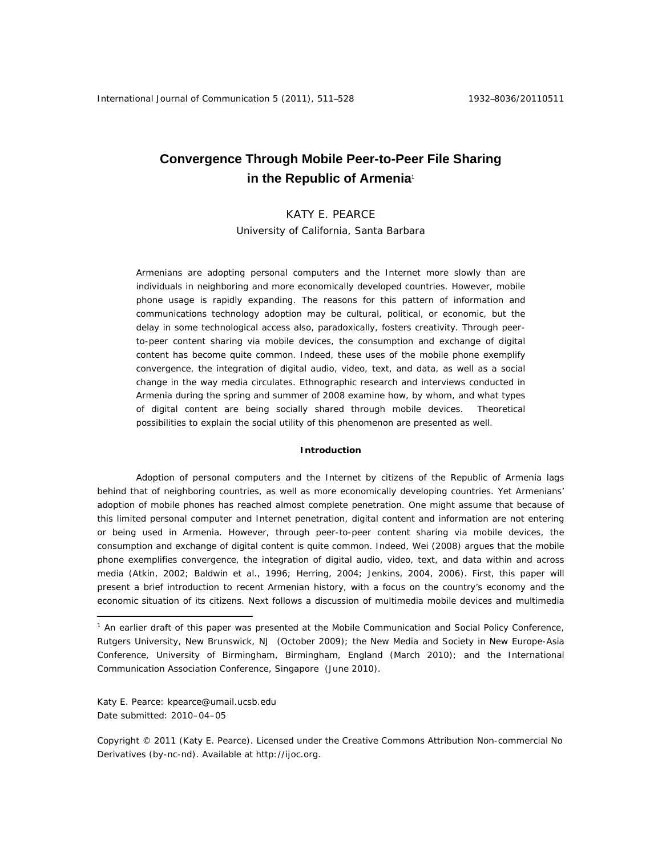# **Convergence Through Mobile Peer-to-Peer File Sharing in the Republic of Armenia<sup>1</sup>**

# KATY E. PEARCE

University of California, Santa Barbara

Armenians are adopting personal computers and the Internet more slowly than are individuals in neighboring and more economically developed countries. However, mobile phone usage is rapidly expanding. The reasons for this pattern of information and communications technology adoption may be cultural, political, or economic, but the delay in some technological access also, paradoxically, fosters creativity. Through peerto-peer content sharing via mobile devices, the consumption and exchange of digital content has become quite common. Indeed, these uses of the mobile phone exemplify *convergence*, the integration of digital audio, video, text, and data, as well as a social change in the way media circulates. Ethnographic research and interviews conducted in Armenia during the spring and summer of 2008 examine how, by whom, and what types of digital content are being socially shared through mobile devices. Theoretical possibilities to explain the social utility of this phenomenon are presented as well.

#### **Introduction**

Adoption of personal computers and the Internet by citizens of the Republic of Armenia lags behind that of neighboring countries, as well as more economically developing countries. Yet Armenians' adoption of mobile phones has reached almost complete penetration. One might assume that because of this limited personal computer and Internet penetration, digital content and information are not entering or being used in Armenia. However, through peer-to-peer content sharing via mobile devices, the consumption and exchange of digital content is quite common. Indeed, Wei (2008) argues that the mobile phone exemplifies convergence, the integration of digital audio, video, text, and data within and across media (Atkin, 2002; Baldwin et al., 1996; Herring, 2004; Jenkins, 2004, 2006). First, this paper will present a brief introduction to recent Armenian history, with a focus on the country's economy and the economic situation of its citizens. Next follows a discussion of multimedia mobile devices and multimedia

Katy E. Pearce: kpearce@umail.ucsb.edu Date submitted: 2010–04–05

 $\overline{a}$ 

Copyright © 2011 (Katy E. Pearce). Licensed under the Creative Commons Attribution Non-commercial No Derivatives (by-nc-nd). Available at http://ijoc.org.

<sup>&</sup>lt;sup>1</sup> An earlier draft of this paper was presented at the Mobile Communication and Social Policy Conference, Rutgers University, New Brunswick, NJ (October 2009); the New Media and Society in New Europe-Asia Conference, University of Birmingham, Birmingham, England (March 2010); and the International Communication Association Conference, Singapore (June 2010).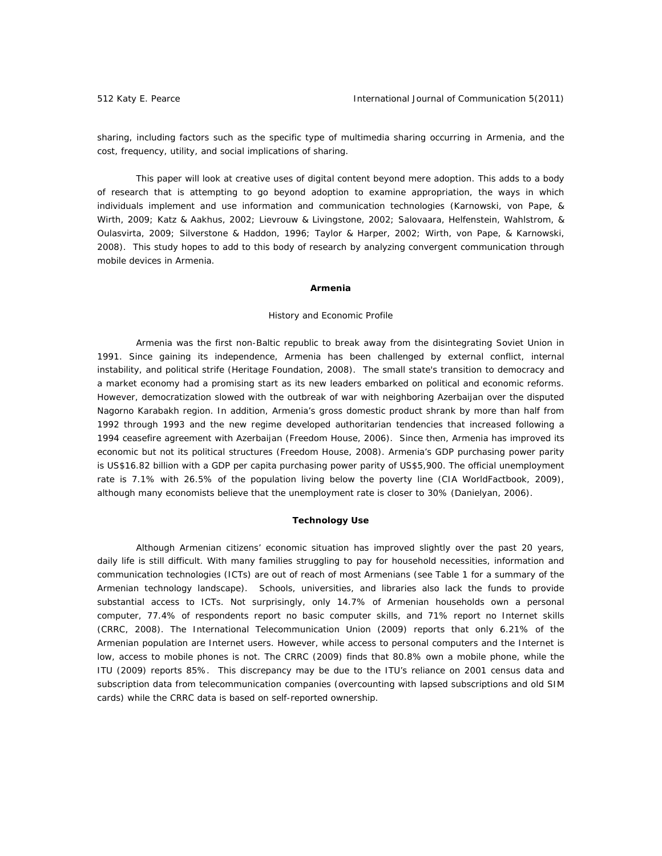sharing, including factors such as the specific type of multimedia sharing occurring in Armenia, and the cost, frequency, utility, and social implications of sharing.

This paper will look at creative uses of digital content beyond mere adoption. This adds to a body of research that is attempting to go beyond adoption to examine *appropriation*, the ways in which individuals implement and use information and communication technologies (Karnowski, von Pape, & Wirth, 2009; Katz & Aakhus, 2002; Lievrouw & Livingstone, 2002; Salovaara, Helfenstein, Wahlstrom, & Oulasvirta, 2009; Silverstone & Haddon, 1996; Taylor & Harper, 2002; Wirth, von Pape, & Karnowski, 2008). This study hopes to add to this body of research by analyzing convergent communication through mobile devices in Armenia.

#### **Armenia**

#### *History and Economic Profile*

Armenia was the first non-Baltic republic to break away from the disintegrating Soviet Union in 1991. Since gaining its independence, Armenia has been challenged by external conflict, internal instability, and political strife (Heritage Foundation, 2008). The small state's transition to democracy and a market economy had a promising start as its new leaders embarked on political and economic reforms. However, democratization slowed with the outbreak of war with neighboring Azerbaijan over the disputed Nagorno Karabakh region. In addition, Armenia's gross domestic product shrank by more than half from 1992 through 1993 and the new regime developed authoritarian tendencies that increased following a 1994 ceasefire agreement with Azerbaijan (Freedom House, 2006). Since then, Armenia has improved its economic but not its political structures (Freedom House, 2008). Armenia's GDP purchasing power parity is US\$16.82 billion with a GDP per capita purchasing power parity of US\$5,900. The official unemployment rate is 7.1% with 26.5% of the population living below the poverty line (CIA WorldFactbook, 2009), although many economists believe that the unemployment rate is closer to 30% (Danielyan, 2006).

#### **Technology Use**

Although Armenian citizens' economic situation has improved slightly over the past 20 years, daily life is still difficult. With many families struggling to pay for household necessities, information and communication technologies (ICTs) are out of reach of most Armenians (see Table 1 for a summary of the Armenian technology landscape). Schools, universities, and libraries also lack the funds to provide substantial access to ICTs. Not surprisingly, only 14.7% of Armenian households own a personal computer, 77.4% of respondents report no basic computer skills, and 71% report no Internet skills (CRRC, 2008). The International Telecommunication Union (2009) reports that only 6.21% of the Armenian population are Internet users. However, while access to personal computers and the Internet is low, access to mobile phones is not. The CRRC (2009) finds that 80.8% own a mobile phone, while the ITU (2009) reports 85%. This discrepancy may be due to the ITU's reliance on 2001 census data and subscription data from telecommunication companies (overcounting with lapsed subscriptions and old SIM cards) while the CRRC data is based on self-reported ownership.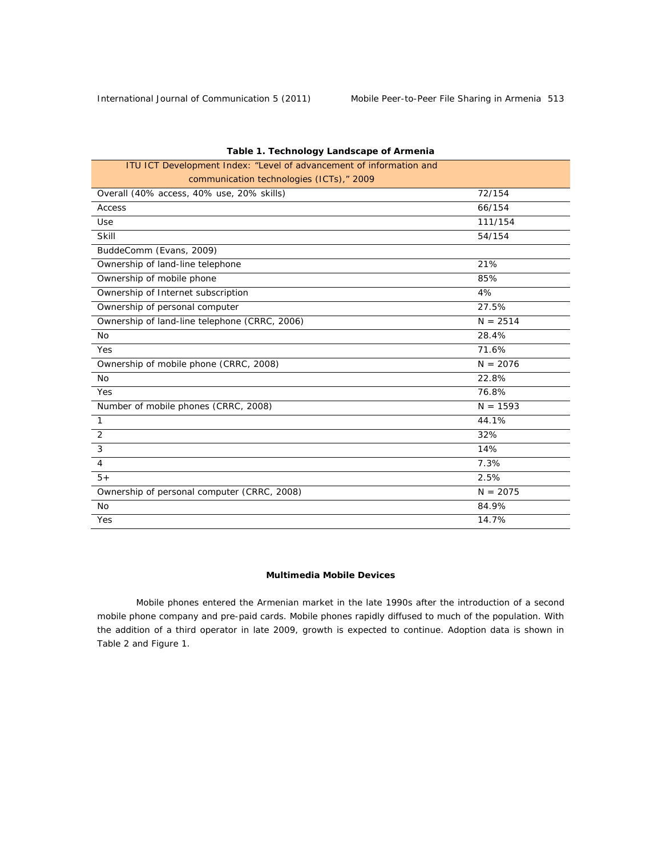| ITU ICT Development Index: "Level of advancement of information and |            |
|---------------------------------------------------------------------|------------|
| communication technologies (ICTs)," 2009                            |            |
| Overall (40% access, 40% use, 20% skills)                           | 72/154     |
| Access                                                              | 66/154     |
| Use                                                                 | 111/154    |
| Skill                                                               | 54/154     |
| BuddeComm (Evans, 2009)                                             |            |
| Ownership of land-line telephone                                    | 21%        |
| Ownership of mobile phone                                           | 85%        |
| Ownership of Internet subscription                                  | 4%         |
| Ownership of personal computer                                      | 27.5%      |
| Ownership of land-line telephone (CRRC, 2006)                       | $N = 2514$ |
| <b>No</b>                                                           | 28.4%      |
| Yes                                                                 | 71.6%      |
| Ownership of mobile phone (CRRC, 2008)                              | $N = 2076$ |
| <b>No</b>                                                           | 22.8%      |
| Yes                                                                 | 76.8%      |
| Number of mobile phones (CRRC, 2008)                                | $N = 1593$ |
| $\mathbf{1}$                                                        | 44.1%      |
| 2                                                                   | 32%        |
| 3                                                                   | 14%        |
| $\overline{4}$                                                      | 7.3%       |
| $5+$                                                                | 2.5%       |
| Ownership of personal computer (CRRC, 2008)                         | $N = 2075$ |
| <b>No</b>                                                           | 84.9%      |
| Yes                                                                 | 14.7%      |

# *Table 1. Technology Landscape of Armenia*

# **Multimedia Mobile Devices**

Mobile phones entered the Armenian market in the late 1990s after the introduction of a second mobile phone company and pre-paid cards. Mobile phones rapidly diffused to much of the population. With the addition of a third operator in late 2009, growth is expected to continue. Adoption data is shown in Table 2 and Figure 1.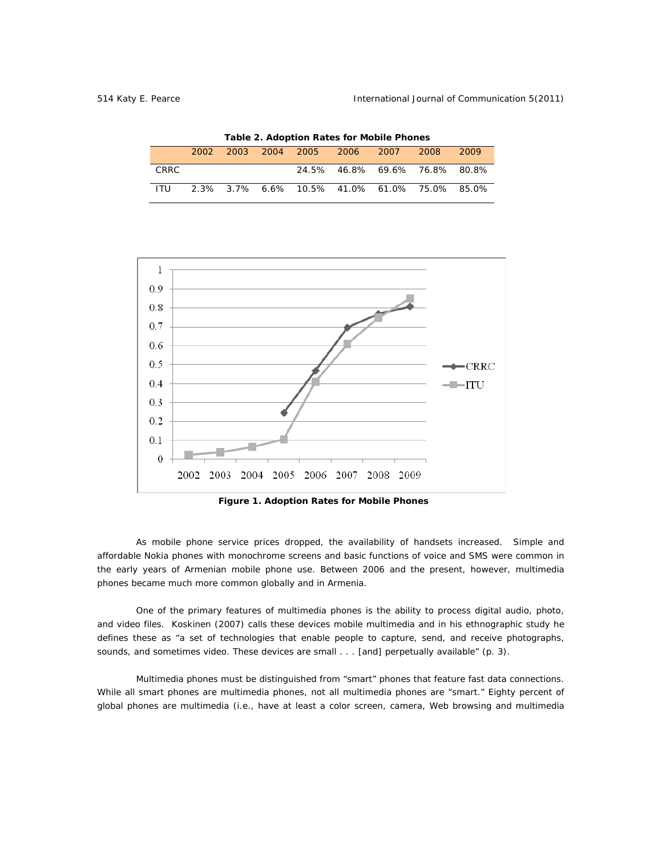| Table 2. Adoption Rates for Mobile Phones |        |  |  |  |                                              |  |       |      |  |
|-------------------------------------------|--------|--|--|--|----------------------------------------------|--|-------|------|--|
|                                           | 2002 - |  |  |  | 2003 2004 2005 2006 2007                     |  | -2008 | 2009 |  |
| CRRC.                                     |        |  |  |  | 24.5% 46.8% 69.6% 76.8% 80.8%                |  |       |      |  |
| ITU.                                      |        |  |  |  | 2.3% 3.7% 6.6% 10.5% 41.0% 61.0% 75.0% 85.0% |  |       |      |  |



 *Figure 1. Adoption Rates for Mobile Phones* 

As mobile phone service prices dropped, the availability of handsets increased. Simple and affordable Nokia phones with monochrome screens and basic functions of voice and SMS were common in the early years of Armenian mobile phone use. Between 2006 and the present, however, multimedia phones became much more common globally and in Armenia.

One of the primary features of multimedia phones is the ability to process digital audio, photo, and video files. Koskinen (2007) calls these devices mobile multimedia and in his ethnographic study he defines these as "a set of technologies that enable people to capture, send, and receive photographs, sounds, and sometimes video. These devices are small . . . [and] perpetually available" (p. 3).

Multimedia phones must be distinguished from "smart" phones that feature fast data connections. While all smart phones are multimedia phones, not all multimedia phones are "smart." Eighty percent of global phones are multimedia (i.e., have at least a color screen, camera, Web browsing and multimedia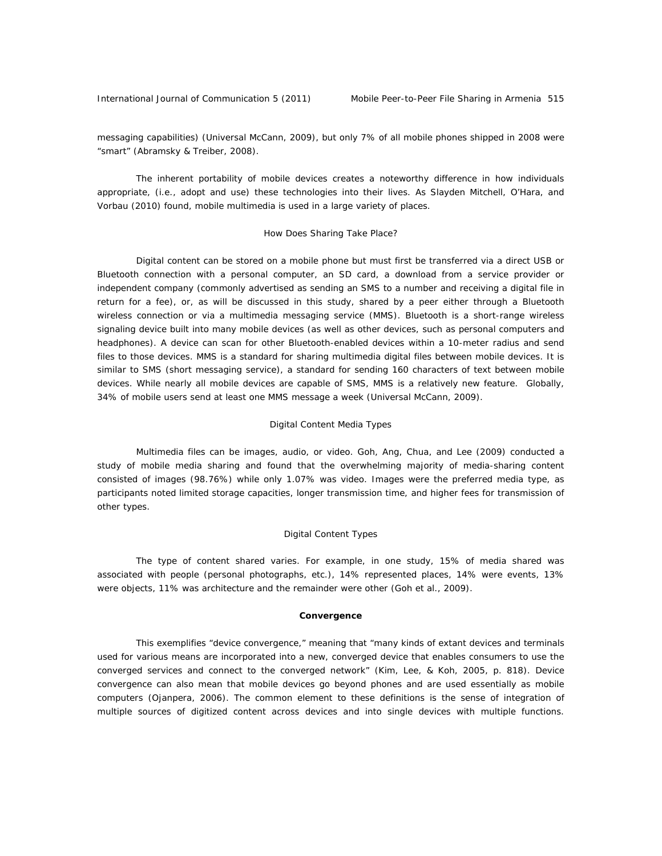messaging capabilities) (Universal McCann, 2009), but only 7% of all mobile phones shipped in 2008 were "smart" (Abramsky & Treiber, 2008).

The inherent portability of mobile devices creates a noteworthy difference in how individuals appropriate, (i.e., adopt and use) these technologies into their lives. As Slayden Mitchell, O'Hara, and Vorbau (2010) found, mobile multimedia is used in a large variety of places.

#### *How Does Sharing Take Place?*

Digital content can be stored on a mobile phone but must first be transferred via a direct USB or Bluetooth connection with a personal computer, an SD card, a download from a service provider or independent company (commonly advertised as sending an SMS to a number and receiving a digital file in return for a fee), or, as will be discussed in this study, shared by a peer either through a Bluetooth wireless connection or via a multimedia messaging service (MMS). Bluetooth is a short-range wireless signaling device built into many mobile devices (as well as other devices, such as personal computers and headphones). A device can scan for other Bluetooth-enabled devices within a 10-meter radius and send files to those devices. MMS is a standard for sharing multimedia digital files between mobile devices. It is similar to SMS (short messaging service), a standard for sending 160 characters of text between mobile devices. While nearly all mobile devices are capable of SMS, MMS is a relatively new feature. Globally, 34% of mobile users send at least one MMS message a week (Universal McCann, 2009).

#### *Digital Content Media Types*

Multimedia files can be images, audio, or video. Goh, Ang, Chua, and Lee (2009) conducted a study of mobile media sharing and found that the overwhelming majority of media-sharing content consisted of images (98.76%) while only 1.07% was video. Images were the preferred media type, as participants noted limited storage capacities, longer transmission time, and higher fees for transmission of other types.

# *Digital Content Types*

The type of content shared varies. For example, in one study, 15% of media shared was associated with people (personal photographs, etc.), 14% represented places, 14% were events, 13% were objects, 11% was architecture and the remainder were other (Goh et al., 2009).

#### **Convergence**

This exemplifies "device convergence," meaning that "many kinds of extant devices and terminals used for various means are incorporated into a new, converged device that enables consumers to use the converged services and connect to the converged network" (Kim, Lee, & Koh, 2005, p. 818). Device convergence can also mean that mobile devices go beyond phones and are used essentially as mobile computers (Ojanpera, 2006). The common element to these definitions is the sense of integration of multiple sources of digitized content across devices and into single devices with multiple functions.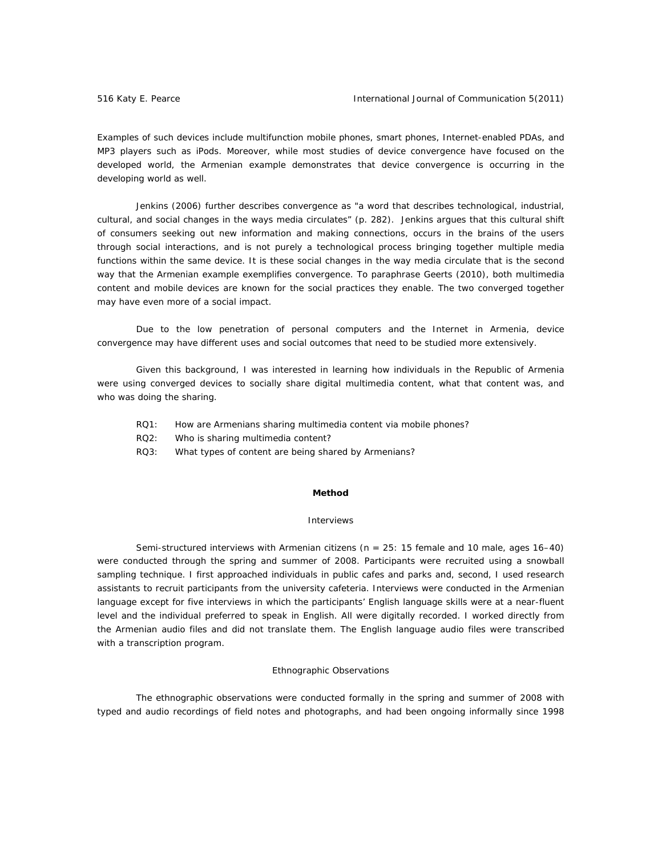Examples of such devices include multifunction mobile phones, smart phones, Internet-enabled PDAs, and MP3 players such as iPods. Moreover, while most studies of device convergence have focused on the developed world, the Armenian example demonstrates that device convergence is occurring in the developing world as well.

Jenkins (2006) further describes convergence as "a word that describes technological, industrial, cultural, and social changes in the ways media circulates" (p. 282). Jenkins argues that this cultural shift of consumers seeking out new information and making connections, occurs in the brains of the users through social interactions, and is not purely a technological process bringing together multiple media functions within the same device. It is these social changes in the way media circulate that is the second way that the Armenian example exemplifies convergence. To paraphrase Geerts (2010), both multimedia content and mobile devices are known for the social practices they enable. The two converged together may have even more of a social impact.

Due to the low penetration of personal computers and the Internet in Armenia, device convergence may have different uses and social outcomes that need to be studied more extensively.

Given this background, I was interested in learning how individuals in the Republic of Armenia were using converged devices to socially share digital multimedia content, what that content was, and who was doing the sharing.

- RQ1: How are Armenians sharing multimedia content via mobile phones?
- RQ2: Who is sharing multimedia content?
- RQ3: What types of content are being shared by Armenians?

# **Method**

# *Interviews*

Semi-structured interviews with Armenian citizens ( $n = 25: 15$  female and 10 male, ages 16-40) were conducted through the spring and summer of 2008. Participants were recruited using a snowball sampling technique. I first approached individuals in public cafes and parks and, second, I used research assistants to recruit participants from the university cafeteria. Interviews were conducted in the Armenian language except for five interviews in which the participants' English language skills were at a near-fluent level and the individual preferred to speak in English. All were digitally recorded. I worked directly from the Armenian audio files and did not translate them. The English language audio files were transcribed with a transcription program.

# *Ethnographic Observations*

 The ethnographic observations were conducted formally in the spring and summer of 2008 with typed and audio recordings of field notes and photographs, and had been ongoing informally since 1998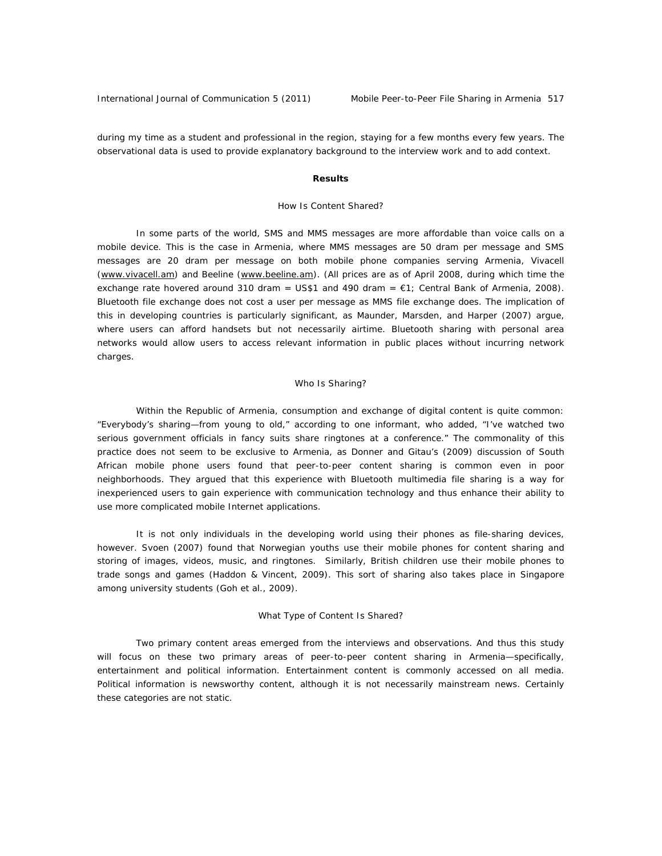during my time as a student and professional in the region, staying for a few months every few years. The observational data is used to provide explanatory background to the interview work and to add context.

# **Results**

# *How Is Content Shared?*

In some parts of the world, SMS and MMS messages are more affordable than voice calls on a mobile device. This is the case in Armenia, where MMS messages are 50 dram per message and SMS messages are 20 dram per message on both mobile phone companies serving Armenia, Vivacell (www.vivacell.am) and Beeline (www.beeline.am). (All prices are as of April 2008, during which time the exchange rate hovered around 310 dram = US\$1 and 490 dram =  $\epsilon$ 1; Central Bank of Armenia, 2008). Bluetooth file exchange does not cost a user per message as MMS file exchange does. The implication of this in developing countries is particularly significant, as Maunder, Marsden, and Harper (2007) argue, where users can afford handsets but not necessarily airtime. Bluetooth sharing with personal area networks would allow users to access relevant information in public places without incurring network charges.

#### *Who Is Sharing?*

Within the Republic of Armenia, consumption and exchange of digital content is quite common: "Everybody's sharing—from young to old," according to one informant, who added, "I've watched two serious government officials in fancy suits share ringtones at a conference." The commonality of this practice does not seem to be exclusive to Armenia, as Donner and Gitau's (2009) discussion of South African mobile phone users found that peer-to-peer content sharing is common even in poor neighborhoods. They argued that this experience with Bluetooth multimedia file sharing is a way for inexperienced users to gain experience with communication technology and thus enhance their ability to use more complicated mobile Internet applications.

It is not only individuals in the developing world using their phones as file-sharing devices, however. Svoen (2007) found that Norwegian youths use their mobile phones for content sharing and storing of images, videos, music, and ringtones. Similarly, British children use their mobile phones to trade songs and games (Haddon & Vincent, 2009). This sort of sharing also takes place in Singapore among university students (Goh et al., 2009).

#### *What Type of Content Is Shared?*

Two primary content areas emerged from the interviews and observations. And thus this study will focus on these two primary areas of peer-to-peer content sharing in Armenia—specifically, entertainment and political information. Entertainment content is commonly accessed on all media. Political information is newsworthy content, although it is not necessarily mainstream news. Certainly these categories are not static.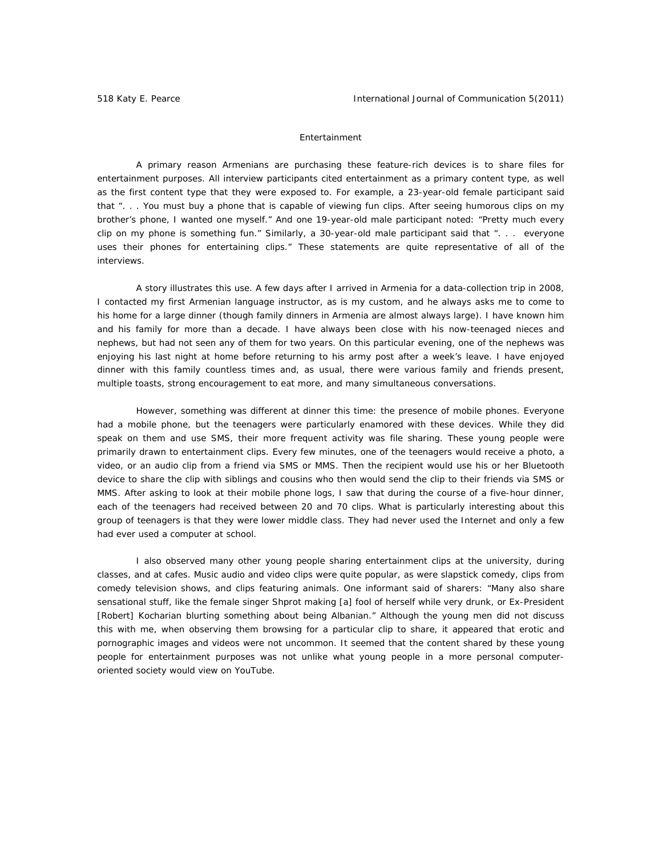## *Entertainment*

A primary reason Armenians are purchasing these feature-rich devices is to share files for entertainment purposes. All interview participants cited entertainment as a primary content type, as well as the first content type that they were exposed to. For example, a 23-year-old female participant said that ". . . You must buy a phone that is capable of viewing fun clips. After seeing humorous clips on my brother's phone, I wanted one myself." And one 19-year-old male participant noted: "Pretty much every clip on my phone is something fun." Similarly, a 30-year-old male participant said that ". . . everyone uses their phones for entertaining clips." These statements are quite representative of all of the interviews.

A story illustrates this use. A few days after I arrived in Armenia for a data-collection trip in 2008, I contacted my first Armenian language instructor, as is my custom, and he always asks me to come to his home for a large dinner (though family dinners in Armenia are almost always large). I have known him and his family for more than a decade. I have always been close with his now-teenaged nieces and nephews, but had not seen any of them for two years. On this particular evening, one of the nephews was enjoying his last night at home before returning to his army post after a week's leave. I have enjoyed dinner with this family countless times and, as usual, there were various family and friends present, multiple toasts, strong encouragement to eat more, and many simultaneous conversations.

However, something was different at dinner this time: the presence of mobile phones. Everyone had a mobile phone, but the teenagers were particularly enamored with these devices. While they did speak on them and use SMS, their more frequent activity was file sharing. These young people were primarily drawn to entertainment clips. Every few minutes, one of the teenagers would receive a photo, a video, or an audio clip from a friend via SMS or MMS. Then the recipient would use his or her Bluetooth device to share the clip with siblings and cousins who then would send the clip to their friends via SMS or MMS. After asking to look at their mobile phone logs, I saw that during the course of a five-hour dinner, each of the teenagers had received between 20 and 70 clips. What is particularly interesting about this group of teenagers is that they were lower middle class. They had never used the Internet and only a few had ever used a computer at school.

I also observed many other young people sharing entertainment clips at the university, during classes, and at cafes. Music audio and video clips were quite popular, as were slapstick comedy, clips from comedy television shows, and clips featuring animals. One informant said of sharers: "Many also share sensational stuff, like the female singer Shprot making [a] fool of herself while very drunk, or Ex-President [Robert] Kocharian blurting something about being Albanian." Although the young men did not discuss this with me, when observing them browsing for a particular clip to share, it appeared that erotic and pornographic images and videos were not uncommon. It seemed that the content shared by these young people for entertainment purposes was not unlike what young people in a more personal computeroriented society would view on YouTube.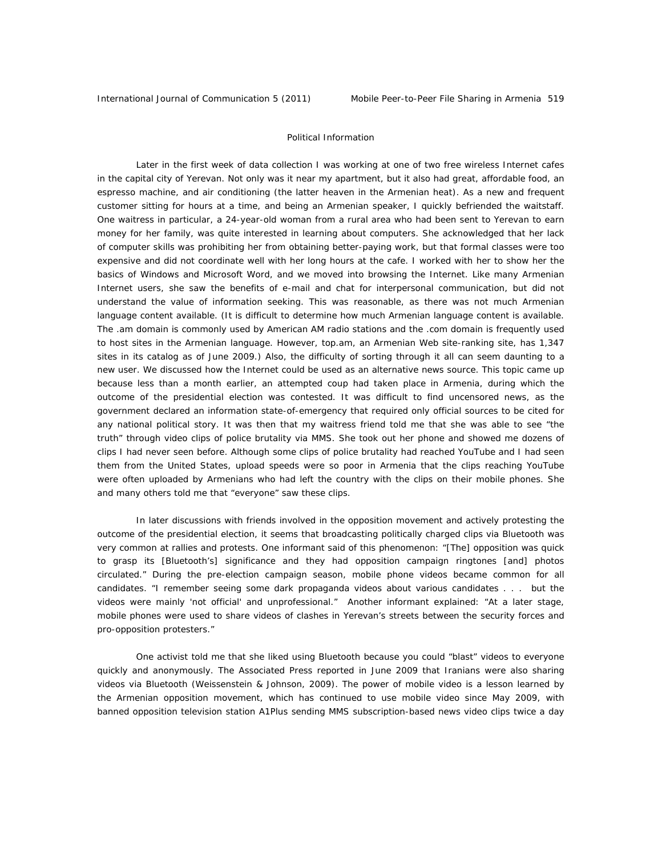### *Political Information*

 Later in the first week of data collection I was working at one of two free wireless Internet cafes in the capital city of Yerevan. Not only was it near my apartment, but it also had great, affordable food, an espresso machine, and air conditioning (the latter heaven in the Armenian heat). As a new and frequent customer sitting for hours at a time, and being an Armenian speaker, I quickly befriended the waitstaff. One waitress in particular, a 24-year-old woman from a rural area who had been sent to Yerevan to earn money for her family, was quite interested in learning about computers. She acknowledged that her lack of computer skills was prohibiting her from obtaining better-paying work, but that formal classes were too expensive and did not coordinate well with her long hours at the cafe. I worked with her to show her the basics of Windows and Microsoft Word, and we moved into browsing the Internet. Like many Armenian Internet users, she saw the benefits of e-mail and chat for interpersonal communication, but did not understand the value of information seeking. This was reasonable, as there was not much Armenian language content available. (It is difficult to determine how much Armenian language content is available. The .am domain is commonly used by American AM radio stations and the .com domain is frequently used to host sites in the Armenian language. However, top.am, an Armenian Web site-ranking site, has 1,347 sites in its catalog as of June 2009.) Also, the difficulty of sorting through it all can seem daunting to a new user. We discussed how the Internet could be used as an alternative news source. This topic came up because less than a month earlier, an attempted coup had taken place in Armenia, during which the outcome of the presidential election was contested. It was difficult to find uncensored news, as the government declared an information state-of-emergency that required only official sources to be cited for any national political story. It was then that my waitress friend told me that she was able to see "the truth" through video clips of police brutality via MMS. She took out her phone and showed me dozens of clips I had never seen before. Although some clips of police brutality had reached YouTube and I had seen them from the United States, upload speeds were so poor in Armenia that the clips reaching YouTube were often uploaded by Armenians who had left the country with the clips on their mobile phones. She and many others told me that "everyone" saw these clips.

In later discussions with friends involved in the opposition movement and actively protesting the outcome of the presidential election, it seems that broadcasting politically charged clips via Bluetooth was very common at rallies and protests. One informant said of this phenomenon: "[The] opposition was quick to grasp its [Bluetooth's] significance and they had opposition campaign ringtones [and] photos circulated." During the pre-election campaign season, mobile phone videos became common for all candidates. "I remember seeing some dark propaganda videos about various candidates . . . but the videos were mainly 'not official' and unprofessional." Another informant explained: "At a later stage, mobile phones were used to share videos of clashes in Yerevan's streets between the security forces and pro-opposition protesters."

One activist told me that she liked using Bluetooth because you could "blast" videos to everyone quickly and anonymously. The Associated Press reported in June 2009 that Iranians were also sharing videos via Bluetooth (Weissenstein & Johnson, 2009). The power of mobile video is a lesson learned by the Armenian opposition movement, which has continued to use mobile video since May 2009, with banned opposition television station A1Plus sending MMS subscription-based news video clips twice a day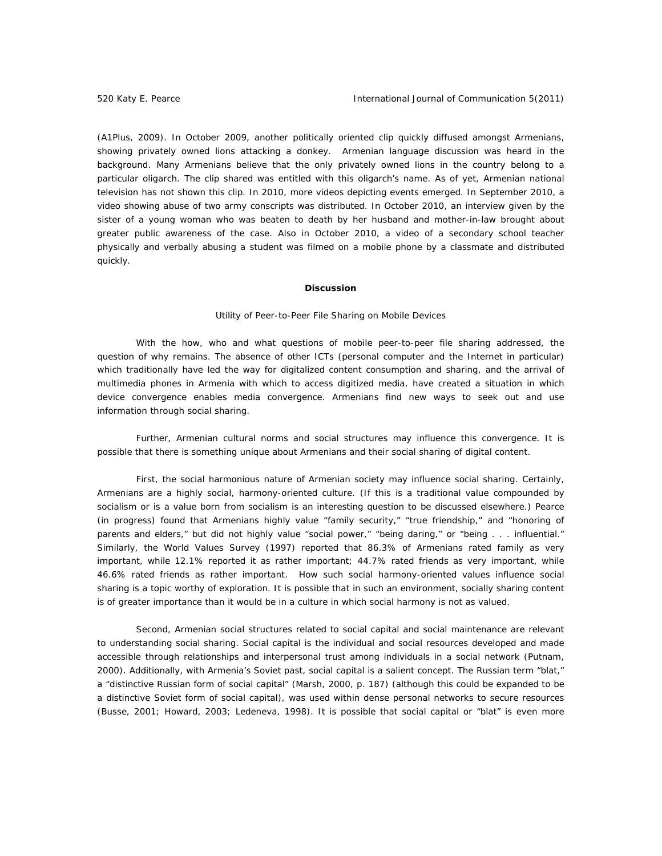(A1Plus, 2009). In October 2009, another politically oriented clip quickly diffused amongst Armenians, showing privately owned lions attacking a donkey. Armenian language discussion was heard in the background. Many Armenians believe that the only privately owned lions in the country belong to a particular oligarch. The clip shared was entitled with this oligarch's name. As of yet, Armenian national television has not shown this clip. In 2010, more videos depicting events emerged. In September 2010, a video showing abuse of two army conscripts was distributed. In October 2010, an interview given by the sister of a young woman who was beaten to death by her husband and mother-in-law brought about greater public awareness of the case. Also in October 2010, a video of a secondary school teacher physically and verbally abusing a student was filmed on a mobile phone by a classmate and distributed quickly.

#### **Discussion**

## *Utility of Peer-to-Peer File Sharing on Mobile Devices*

 With the *how*, *who* and *what* questions of mobile peer-to-peer file sharing addressed, the question of *why* remains. The absence of other ICTs (personal computer and the Internet in particular) which traditionally have led the way for digitalized content consumption and sharing, and the arrival of multimedia phones in Armenia with which to access digitized media, have created a situation in which device convergence enables media convergence. Armenians find new ways to seek out and use information through social sharing.

 Further, Armenian cultural norms and social structures may influence this convergence. It is possible that there is something unique about Armenians and their social sharing of digital content.

First, the social harmonious nature of Armenian society may influence social sharing. Certainly, Armenians are a highly social, harmony-oriented culture. (If this is a traditional value compounded by socialism or is a value born from socialism is an interesting question to be discussed elsewhere.) Pearce (in progress) found that Armenians highly value "family security," "true friendship," and "honoring of parents and elders," but did not highly value "social power," "being daring," or "being . . . influential." Similarly, the World Values Survey (1997) reported that 86.3% of Armenians rated family as very important, while 12.1% reported it as rather important; 44.7% rated friends as very important, while 46.6% rated friends as rather important. How such social harmony-oriented values influence social sharing is a topic worthy of exploration. It is possible that in such an environment, socially sharing content is of greater importance than it would be in a culture in which social harmony is not as valued.

 Second, Armenian social structures related to social capital and social maintenance are relevant to understanding social sharing. Social capital is the individual and social resources developed and made accessible through relationships and interpersonal trust among individuals in a social network (Putnam, 2000). Additionally, with Armenia's Soviet past, social capital is a salient concept. The Russian term "*blat,"* a "distinctive Russian form of social capital" (Marsh, 2000, p. 187) (although this could be expanded to be a distinctive *Soviet* form of social capital), was used within dense personal networks to secure resources (Busse, 2001; Howard, 2003; Ledeneva, 1998). It is possible that social capital or "*blat*" is even more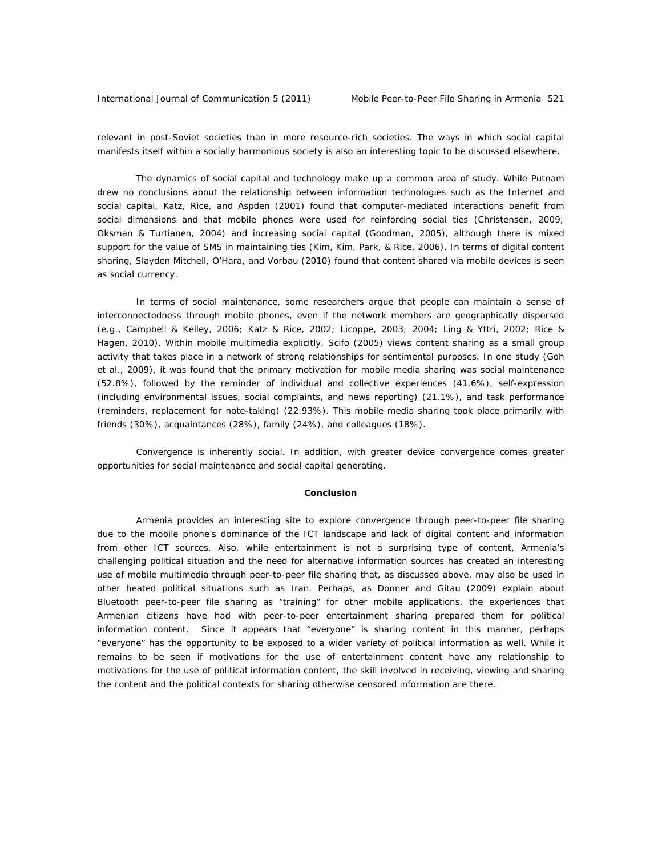relevant in post-Soviet societies than in more resource-rich societies. The ways in which social capital manifests itself within a socially harmonious society is also an interesting topic to be discussed elsewhere.

The dynamics of social capital and technology make up a common area of study. While Putnam drew no conclusions about the relationship between information technologies such as the Internet and social capital, Katz, Rice, and Aspden (2001) found that computer-mediated interactions benefit from social dimensions and that mobile phones were used for reinforcing social ties (Christensen, 2009; Oksman & Turtianen, 2004) and increasing social capital (Goodman, 2005), although there is mixed support for the value of SMS in maintaining ties (Kim, Kim, Park, & Rice, 2006). In terms of digital content sharing, Slayden Mitchell, O'Hara, and Vorbau (2010) found that content shared via mobile devices is seen as social currency.

In terms of social maintenance, some researchers argue that people can maintain a sense of interconnectedness through mobile phones, even if the network members are geographically dispersed (e.g., Campbell & Kelley, 2006; Katz & Rice, 2002; Licoppe, 2003; 2004; Ling & Yttri, 2002; Rice & Hagen, 2010). Within mobile multimedia explicitly, Scifo (2005) views content sharing as a small group activity that takes place in a network of strong relationships for sentimental purposes. In one study (Goh et al., 2009), it was found that the primary motivation for mobile media sharing was social maintenance (52.8%), followed by the reminder of individual and collective experiences (41.6%), self-expression (including environmental issues, social complaints, and news reporting) (21.1%), and task performance (reminders, replacement for note-taking) (22.93%). This mobile media sharing took place primarily with friends (30%), acquaintances (28%), family (24%), and colleagues (18%).

 Convergence is inherently social. In addition, with greater device convergence comes greater opportunities for social maintenance and social capital generating.

# **Conclusion**

 Armenia provides an interesting site to explore convergence through peer-to-peer file sharing due to the mobile phone's dominance of the ICT landscape and lack of digital content and information from other ICT sources. Also, while entertainment is not a surprising type of content, Armenia's challenging political situation and the need for alternative information sources has created an interesting use of mobile multimedia through peer-to-peer file sharing that, as discussed above, may also be used in other heated political situations such as Iran. Perhaps, as Donner and Gitau (2009) explain about Bluetooth peer-to-peer file sharing as "training" for other mobile applications, the experiences that Armenian citizens have had with peer-to-peer entertainment sharing prepared them for political information content. Since it appears that "everyone" is sharing content in this manner, perhaps "everyone" has the opportunity to be exposed to a wider variety of political information as well. While it remains to be seen if motivations for the use of entertainment content have any relationship to motivations for the use of political information content, the skill involved in receiving, viewing and sharing the content and the political contexts for sharing otherwise censored information are there.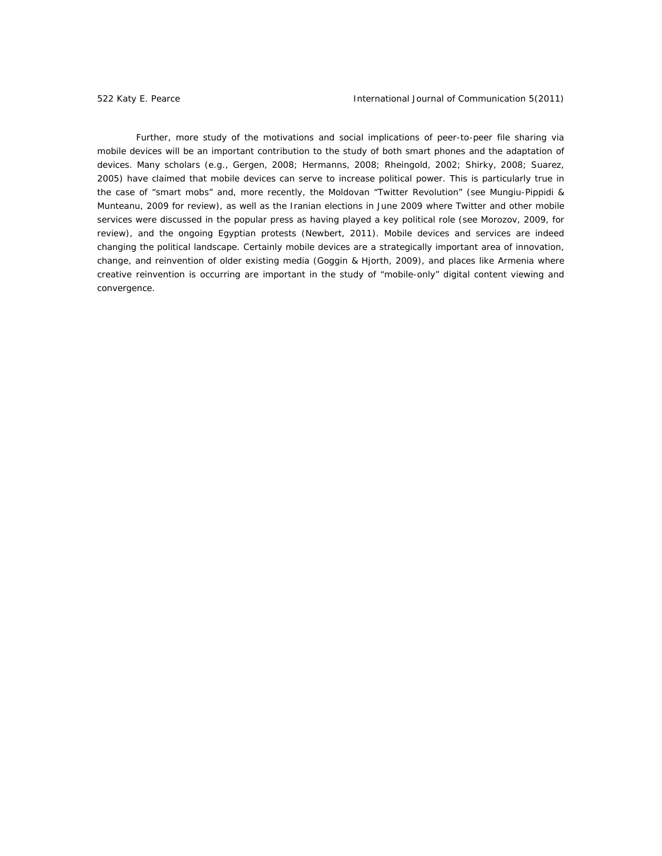Further, more study of the motivations and social implications of peer-to-peer file sharing via mobile devices will be an important contribution to the study of both smart phones and the adaptation of devices. Many scholars (e.g., Gergen, 2008; Hermanns, 2008; Rheingold, 2002; Shirky, 2008; Suarez, 2005) have claimed that mobile devices can serve to increase political power. This is particularly true in the case of "smart mobs" and, more recently, the Moldovan "Twitter Revolution" (see Mungiu-Pippidi & Munteanu, 2009 for review), as well as the Iranian elections in June 2009 where Twitter and other mobile services were discussed in the popular press as having played a key political role (see Morozov, 2009, for review), and the ongoing Egyptian protests (Newbert, 2011). Mobile devices and services are indeed changing the political landscape. Certainly mobile devices are a strategically important area of innovation, change, and reinvention of older existing media (Goggin & Hjorth, 2009), and places like Armenia where creative reinvention is occurring are important in the study of "mobile-only" digital content viewing and convergence.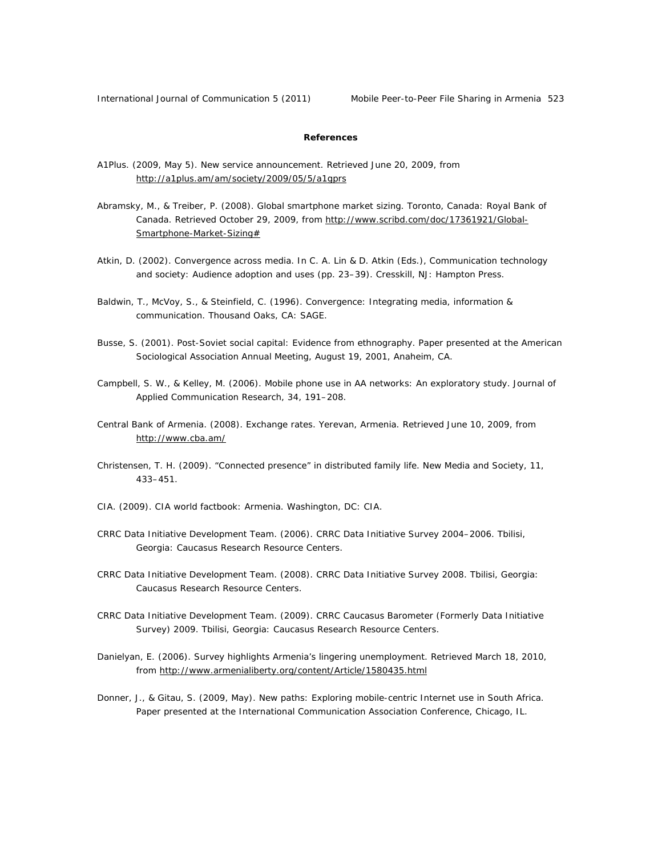International Journal of Communication 5 (2011) Mobile Peer-to-Peer File Sharing in Armenia <sup>523</sup>

# **References**

- A1Plus. (2009, May 5). New service announcement. Retrieved June 20, 2009, from http://a1plus.am/am/society/2009/05/5/a1gprs
- Abramsky, M., & Treiber, P. (2008). *Global smartphone market sizing.* Toronto, Canada: Royal Bank of Canada. Retrieved October 29, 2009, from http://www.scribd.com/doc/17361921/Global-Smartphone-Market-Sizing#
- Atkin, D. (2002). *Convergence across media*. In C. A. Lin & D. Atkin (Eds.), *Communication technology and society: Audience adoption and uses* (pp. 23–39). Cresskill, NJ: Hampton Press.
- Baldwin, T., McVoy, S., & Steinfield, C. (1996). *Convergence: Integrating media, information & communication*. Thousand Oaks, CA: SAGE.
- Busse, S. (2001). *Post-Soviet social capital: Evidence from ethnography*. Paper presented at the American Sociological Association Annual Meeting, August 19, 2001, Anaheim, CA.
- Campbell, S. W., & Kelley, M. (2006). Mobile phone use in AA networks: An exploratory study. *Journal of Applied Communication Research*, *34*, 191–208.
- Central Bank of Armenia. (2008). *Exchange rates*. Yerevan, Armenia. Retrieved June 10, 2009, from http://www.cba.am/
- Christensen, T. H. (2009). "Connected presence" in distributed family life. *New Media and Society, 11*, 433–451.
- CIA. (2009). *CIA world factbook: Armenia*. Washington, DC: CIA.
- CRRC Data Initiative Development Team. (2006). CRRC Data Initiative Survey 2004–2006. Tbilisi, Georgia: Caucasus Research Resource Centers.
- CRRC Data Initiative Development Team. (2008). CRRC Data Initiative Survey 2008. Tbilisi, Georgia: Caucasus Research Resource Centers.
- CRRC Data Initiative Development Team. (2009). CRRC Caucasus Barometer (Formerly Data Initiative Survey) 2009. Tbilisi, Georgia: Caucasus Research Resource Centers.
- Danielyan, E. (2006). *Survey highlights Armenia's lingering unemployment*. Retrieved March 18, 2010, from http://www.armenialiberty.org/content/Article/1580435.html
- Donner, J., & Gitau, S. (2009, May). *New paths: Exploring mobile-centric Internet use in South Africa*. Paper presented at the International Communication Association Conference, Chicago, IL.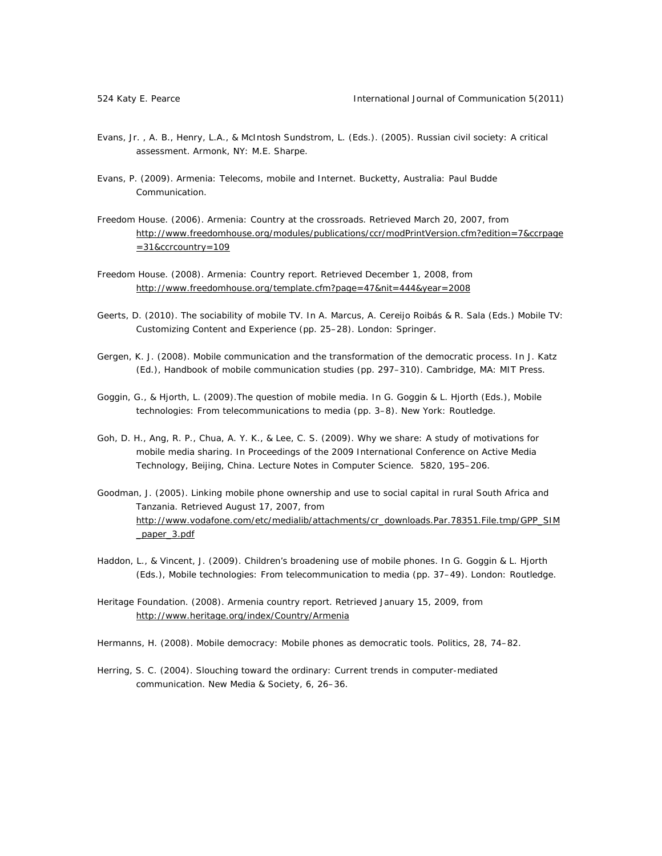- Evans, Jr. , A. B., Henry, L.A., & McIntosh Sundstrom, L. (Eds.). (2005). *Russian civil society: A critical assessment.* Armonk, NY: M.E. Sharpe.
- Evans, P. (2009). *Armenia: Telecoms, mobile and Internet.* Bucketty, Australia: Paul Budde Communication.
- Freedom House. (2006). *Armenia: Country at the crossroads*. Retrieved March 20, 2007, from http://www.freedomhouse.org/modules/publications/ccr/modPrintVersion.cfm?edition=7&ccrpage  $=31$ &ccrcountry=109
- Freedom House. (2008). *Armenia: Country report*. Retrieved December 1, 2008, from http://www.freedomhouse.org/template.cfm?page=47&nit=444&year=2008
- Geerts, D. (2010). The sociability of mobile TV. In A. Marcus, A. Cereijo Roibás & R. Sala (Eds.) *Mobile TV: Customizing Content and Experience* (pp. 25–28). London: Springer.
- Gergen, K. J. (2008). Mobile communication and the transformation of the democratic process. In J. Katz (Ed.), *Handbook of mobile communication studies* (pp. 297–310). Cambridge, MA: MIT Press.
- Goggin, G., & Hjorth, L. (2009).The question of mobile media. In G. Goggin & L. Hjorth (Eds.), *Mobile technologies: From telecommunications to media* (pp. 3–8). New York: Routledge.
- Goh, D. H., Ang, R. P., Chua, A. Y. K., & Lee, C. S. (2009). Why we share: A study of motivations for mobile media sharing. In *Proceedings of the 2009 International Conference on Active Media Technology,* Beijing, China. *Lecture Notes in Computer Science*. *5820*, 195–206.
- Goodman, J. (2005). *Linking mobile phone ownership and use to social capital in rural South Africa and Tanzania*. Retrieved August 17, 2007, from http://www.vodafone.com/etc/medialib/attachments/cr\_downloads.Par.78351.File.tmp/GPP\_SIM \_paper\_3.pdf
- Haddon, L., & Vincent, J. (2009). Children's broadening use of mobile phones. In G. Goggin & L. Hjorth (Eds.), *Mobile technologies: From telecommunication to media* (pp. 37–49). London: Routledge.
- Heritage Foundation. (2008). *Armenia country report*. Retrieved January 15, 2009, from http://www.heritage.org/index/Country/Armenia
- Hermanns, H. (2008). Mobile democracy: Mobile phones as democratic tools. *Politics*, *28*, 74–82.
- Herring, S. C. (2004). Slouching toward the ordinary: Current trends in computer-mediated communication. *New Media & Society*, *6*, 26–36.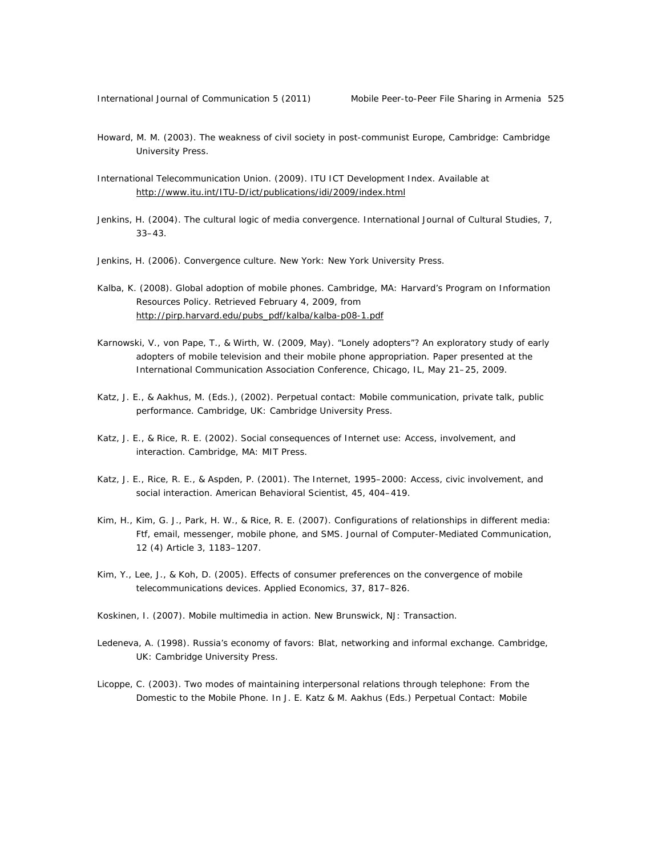- Howard, M. M. (2003). *The weakness of civil society in post-communist Europe,* Cambridge: Cambridge University Press.
- International Telecommunication Union. (2009). ITU ICT Development Index. Available at http://www.itu.int/ITU-D/ict/publications/idi/2009/index.html
- Jenkins, H. (2004). The cultural logic of media convergence. *International Journal of Cultural Studies*, *7*, 33–43.
- Jenkins, H. (2006). *Convergence culture.* New York: New York University Press.
- Kalba, K. (2008). *Global adoption of mobile phones.* Cambridge, MA: Harvard's Program on Information Resources Policy. Retrieved February 4, 2009, from http://pirp.harvard.edu/pubs\_pdf/kalba/kalba-p08-1.pdf
- Karnowski, V., von Pape, T., & Wirth, W. (2009, May). "*Lonely adopters"? An exploratory study of early adopters of mobile television and their mobile phone appropriation*. Paper presented at the International Communication Association Conference, Chicago, IL, May 21–25, 2009.
- Katz, J. E., & Aakhus, M. (Eds.), (2002). *Perpetual contact: Mobile communication, private talk, public performance*. Cambridge, UK: Cambridge University Press.
- Katz, J. E., & Rice, R. E. (2002). *Social consequences of Internet use: Access, involvement, and interaction.* Cambridge, MA: MIT Press.
- Katz, J. E., Rice, R. E., & Aspden, P. (2001). The Internet, 1995–2000: Access, civic involvement, and social interaction. *American Behavioral Scientist*, *45*, 404–419.
- Kim, H., Kim, G. J., Park, H. W., & Rice, R. E. (2007). Configurations of relationships in different media: Ftf, email, messenger, mobile phone, and SMS. *Journal of Computer-Mediated Communication*, *12* (4) Article 3, 1183–1207.
- Kim, Y., Lee, J., & Koh, D. (2005). Effects of consumer preferences on the convergence of mobile telecommunications devices. *Applied Economics*, *37*, 817–826.
- Koskinen, I. (2007). *Mobile multimedia in action*. New Brunswick, NJ: Transaction.
- Ledeneva, A. (1998). *Russia's economy of favors: Blat, networking and informal exchange*. Cambridge, UK: Cambridge University Press.
- Licoppe, C. (2003). Two modes of maintaining interpersonal relations through telephone: From the Domestic to the Mobile Phone. In J. E. Katz & M. Aakhus (Eds.) *Perpetual Contact: Mobile*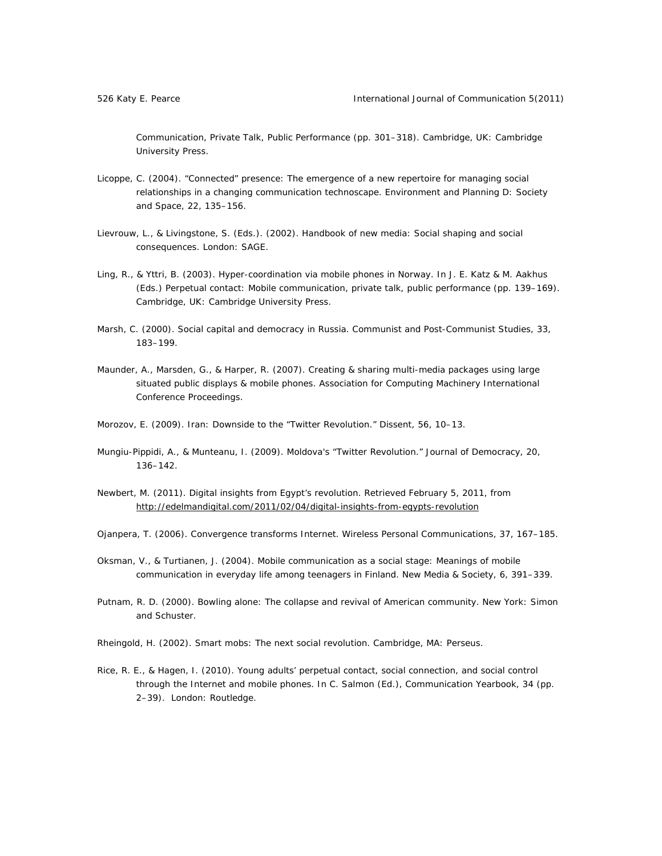*Communication, Private Talk, Public Performance* (pp. 301–318). Cambridge, UK: Cambridge University Press.

- Licoppe, C. (2004). "Connected" presence: The emergence of a new repertoire for managing social relationships in a changing communication technoscape. *Environment and Planning D: Society and Space, 22,* 135–156.
- Lievrouw, L., & Livingstone, S. (Eds.). (2002). *Handbook of new media: Social shaping and social consequences*. London: SAGE.
- Ling, R., & Yttri, B. (2003). Hyper-coordination via mobile phones in Norway. In J. E. Katz & M. Aakhus (Eds.) *Perpetual contact: Mobile communication, private talk, public performance* (pp. 139–169). Cambridge, UK: Cambridge University Press.
- Marsh, C. (2000). Social capital and democracy in Russia. *Communist and Post-Communist Studies*, *33*, 183–199.
- Maunder, A., Marsden, G., & Harper, R. (2007). *Creating & sharing multi-media packages using large situated public displays & mobile phones*. Association for Computing Machinery International Conference Proceedings.
- Morozov, E. (2009). Iran: Downside to the "Twitter Revolution." *Dissent*, *56*, 10–13.
- Mungiu-Pippidi, A., & Munteanu, I. (2009). Moldova's "Twitter Revolution." *Journal of Democracy*, *20*, 136–142.
- Newbert, M. (2011). *Digital insights from Egypt's revolution.* Retrieved February 5, 2011, from http://edelmandigital.com/2011/02/04/digital-insights-from-egypts-revolution
- Ojanpera, T. (2006). Convergence transforms Internet. *Wireless Personal Communications, 37*, 167–185.
- Oksman, V., & Turtianen, J. (2004). Mobile communication as a social stage: Meanings of mobile communication in everyday life among teenagers in Finland. *New Media & Society, 6*, 391–339.
- Putnam, R. D. (2000). *Bowling alone: The collapse and revival of American community*. New York: Simon and Schuster.
- Rheingold, H. (2002). *Smart mobs: The next social revolution*. Cambridge, MA: Perseus.
- Rice, R. E., & Hagen, I. (2010). Young adults' perpetual contact, social connection, and social control through the Internet and mobile phones. In C. Salmon (Ed.), *Communication Yearbook, 34* (pp. 2–39). London: Routledge.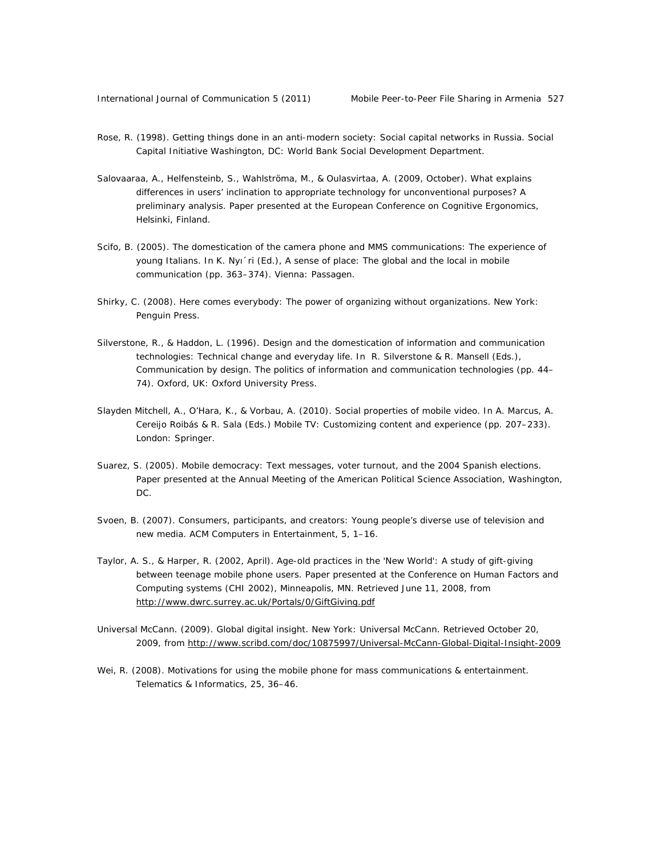- Rose, R. (1998). *Getting things done in an anti-modern society: Social capital networks in Russia*. Social Capital Initiative Washington, DC: World Bank Social Development Department.
- Salovaaraa, A., Helfensteinb, S., Wahlströma, M., & Oulasvirtaa, A. (2009, October). *What explains differences in users' inclination to appropriate technology for unconventional purposes? A preliminary analysis*. Paper presented at the European Conference on Cognitive Ergonomics, Helsinki, Finland.
- Scifo, B. (2005). The domestication of the camera phone and MMS communications: The experience of young Italians. In K. Nyı´ri (Ed.), *A sense of place: The global and the local in mobile communication* (pp. 363–374). Vienna: Passagen.
- Shirky, C. (2008). *Here comes everybody: The power of organizing without organizations.* New York: Penguin Press.
- Silverstone, R., & Haddon, L. (1996). Design and the domestication of information and communication technologies: Technical change and everyday life. In R. Silverstone & R. Mansell (Eds.), *Communication by design. The politics of information and communication technologies* (pp. 44– 74). Oxford, UK: Oxford University Press.
- Slayden Mitchell, A., O'Hara, K., & Vorbau, A. (2010). Social properties of mobile video. In A. Marcus, A. Cereijo Roibás & R. Sala (Eds.) *Mobile TV: Customizing content and experience* (pp. 207–233). London: Springer.
- Suarez, S. (2005). *Mobile democracy: Text messages, voter turnout, and the 2004 Spanish elections*. Paper presented at the Annual Meeting of the American Political Science Association, Washington, DC.
- Svoen, B. (2007). Consumers, participants, and creators: Young people's diverse use of television and new media. *ACM Computers in Entertainment*, *5*, 1–16.
- Taylor, A. S., & Harper, R. (2002, April). *Age-old practices in the 'New World': A study of gift-giving between teenage mobile phone users*. Paper presented at the Conference on Human Factors and Computing systems (CHI 2002), Minneapolis, MN. Retrieved June 11, 2008, from http://www.dwrc.surrey.ac.uk/Portals/0/GiftGiving.pdf
- Universal McCann. (2009). *Global digital insight*. New York: Universal McCann. Retrieved October 20, 2009, from http://www.scribd.com/doc/10875997/Universal-McCann-Global-Digital-Insight-2009
- Wei, R. (2008). Motivations for using the mobile phone for mass communications & entertainment. *Telematics & Informatics*, *25*, 36–46.